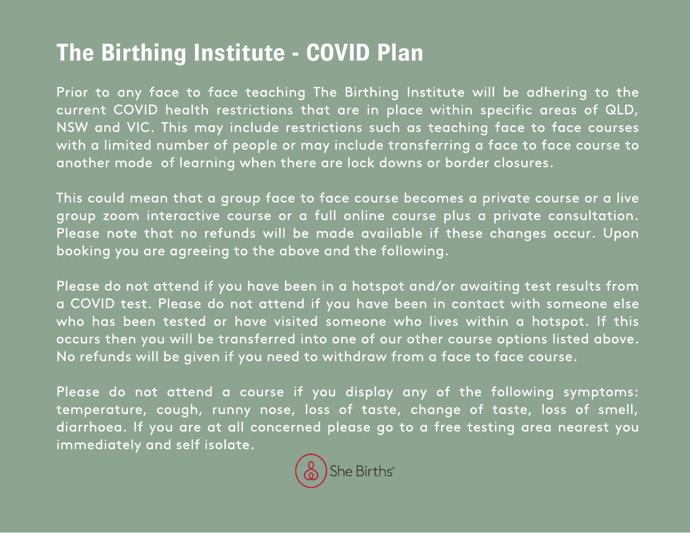## **The Birthing Institute - COVID Plan**

Prior to any face to face teaching The Birthing Institute will be adhering to the current COVID health restrictions that are in place within specific areas of QLD, NSW and VIC. This may include restrictions such as teaching face to face courses with a limited number of people or may include transferring a face to face course to another mode of learning when there are lock downs or border closures.

This could mean that a group face to face course becomes a private course or a live group zoom interactive course or a full online course plus a private consultation. Please note that no refunds will be made available if these changes occur. Upon booking you are agreeing to the above and the following.

Please do not attend if you have been in a hotspot and/or awaiting test results from a COVID test. Please do not attend if you have been in contact with someone else who has been tested or have visited someone who lives within a hotspot. If this occurs then you will be transferred into one of our other course options listed above. No refunds will be given if you need to withdraw from a face to face course.

Please do not attend a course if you display any of the following symptoms: temperature, cough, runny nose, loss of taste, change of taste, loss of smell, diarrhoea. If you are at all concerned please go to a free testing area nearest you immediately and self isolate.